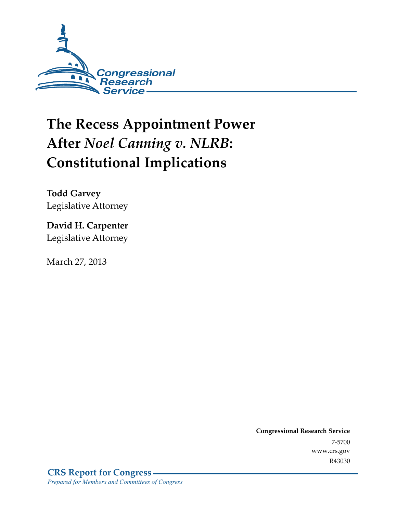

# **The Recess Appointment Power After** *Noel Canning v. NLRB***: Constitutional Implications**

**Todd Garvey**  Legislative Attorney

**David H. Carpenter**  Legislative Attorney

March 27, 2013

**Congressional Research Service**  7-5700 www.crs.gov R43030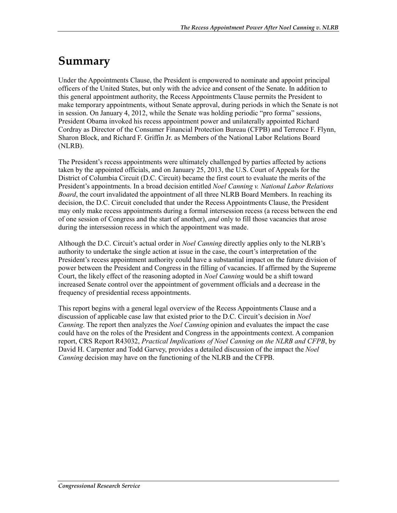### **Summary**

Under the Appointments Clause, the President is empowered to nominate and appoint principal officers of the United States, but only with the advice and consent of the Senate. In addition to this general appointment authority, the Recess Appointments Clause permits the President to make temporary appointments, without Senate approval, during periods in which the Senate is not in session. On January 4, 2012, while the Senate was holding periodic "pro forma" sessions, President Obama invoked his recess appointment power and unilaterally appointed Richard Cordray as Director of the Consumer Financial Protection Bureau (CFPB) and Terrence F. Flynn, Sharon Block, and Richard F. Griffin Jr. as Members of the National Labor Relations Board (NLRB).

The President's recess appointments were ultimately challenged by parties affected by actions taken by the appointed officials, and on January 25, 2013, the U.S. Court of Appeals for the District of Columbia Circuit (D.C. Circuit) became the first court to evaluate the merits of the President's appointments. In a broad decision entitled *Noel Canning v. National Labor Relations Board*, the court invalidated the appointment of all three NLRB Board Members. In reaching its decision, the D.C. Circuit concluded that under the Recess Appointments Clause, the President may only make recess appointments during a formal intersession recess (a recess between the end of one session of Congress and the start of another), *and* only to fill those vacancies that arose during the intersession recess in which the appointment was made.

Although the D.C. Circuit's actual order in *Noel Canning* directly applies only to the NLRB's authority to undertake the single action at issue in the case, the court's interpretation of the President's recess appointment authority could have a substantial impact on the future division of power between the President and Congress in the filling of vacancies. If affirmed by the Supreme Court, the likely effect of the reasoning adopted in *Noel Canning* would be a shift toward increased Senate control over the appointment of government officials and a decrease in the frequency of presidential recess appointments.

This report begins with a general legal overview of the Recess Appointments Clause and a discussion of applicable case law that existed prior to the D.C. Circuit's decision in *Noel Canning*. The report then analyzes the *Noel Canning* opinion and evaluates the impact the case could have on the roles of the President and Congress in the appointments context. A companion report, CRS Report R43032, *Practical Implications of Noel Canning on the NLRB and CFPB*, by David H. Carpenter and Todd Garvey, provides a detailed discussion of the impact the *Noel Canning* decision may have on the functioning of the NLRB and the CFPB.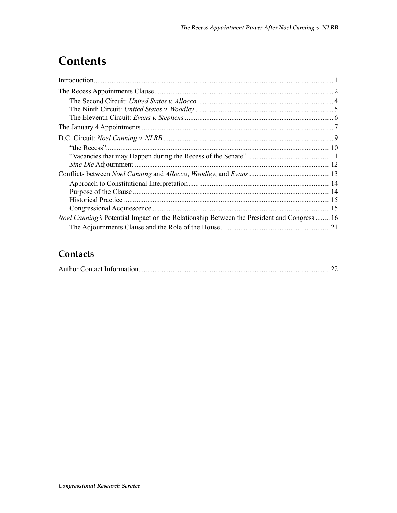# **Contents**

| <i>Noel Canning's</i> Potential Impact on the Relationship Between the President and Congress  16 |  |
|---------------------------------------------------------------------------------------------------|--|
|                                                                                                   |  |

### Contacts

|--|--|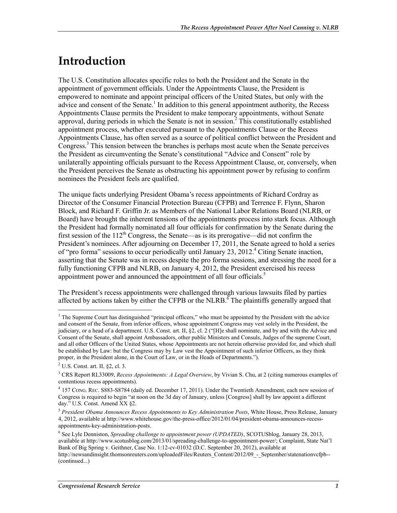## **Introduction**

The U.S. Constitution allocates specific roles to both the President and the Senate in the appointment of government officials. Under the Appointments Clause, the President is empowered to nominate and appoint principal officers of the United States, but only with the advice and consent of the Senate.<sup>1</sup> In addition to this general appointment authority, the Recess Appointments Clause permits the President to make temporary appointments, without Senate approval, during periods in which the Senate is not in session.<sup>2</sup> This constitutionally established appointment process, whether executed pursuant to the Appointments Clause or the Recess Appointments Clause, has often served as a source of political conflict between the President and Congress.<sup>3</sup> This tension between the branches is perhaps most acute when the Senate perceives the President as circumventing the Senate's constitutional "Advice and Consent" role by unilaterally appointing officials pursuant to the Recess Appointment Clause, or, conversely, when the President perceives the Senate as obstructing his appointment power by refusing to confirm nominees the President feels are qualified.

The unique facts underlying President Obama's recess appointments of Richard Cordray as Director of the Consumer Financial Protection Bureau (CFPB) and Terrence F. Flynn, Sharon Block, and Richard F. Griffin Jr. as Members of the National Labor Relations Board (NLRB, or Board) have brought the inherent tensions of the appointments process into stark focus. Although the President had formally nominated all four officials for confirmation by the Senate during the first session of the  $112^{th}$  Congress, the Senate—as is its prerogative—did not confirm the President's nominees. After adjourning on December 17, 2011, the Senate agreed to hold a series of "pro forma" sessions to occur periodically until January 23, 2012.<sup>4</sup> Citing Senate inaction, asserting that the Senate was in recess despite the pro forma sessions, and stressing the need for a fully functioning CFPB and NLRB, on January 4, 2012, the President exercised his recess appointment power and announced the appointment of all four officials.<sup>5</sup>

The President's recess appointments were challenged through various lawsuits filed by parties affected by actions taken by either the CFPB or the NLRB.<sup> $\delta$ </sup> The plaintiffs generally argued that

<sup>&</sup>lt;sup>1</sup> The Supreme Court has distinguished "principal officers," who must be appointed by the President with the advice and consent of the Senate, from inferior officers, whose appointment Congress may vest solely in the President, the judiciary, or a head of a department. U.S. Const. art. II, §2, cl. 2 ("[H]e shall nominate, and by and with the Advice and Consent of the Senate, shall appoint Ambassadors, other public Ministers and Consuls, Judges of the supreme Court, and all other Officers of the United States, whose Appointments are not herein otherwise provided for, and which shall be established by Law: but the Congress may by Law vest the Appointment of such inferior Officers, as they think proper, in the President alone, in the Court of Law, or in the Heads of Departments.").

 $<sup>2</sup>$  U.S. Const. art. II, §2, cl. 3.</sup>

<sup>3</sup> CRS Report RL33009, *Recess Appointments: A Legal Overview*, by Vivian S. Chu, at 2 (citing numerous examples of contentious recess appointments).

<sup>4</sup> 157 CONG. REC. S883-S8784 (daily ed. December 17, 2011). Under the Twentieth Amendment, each new session of Congress is required to begin "at noon on the 3d day of January, unless [Congress] shall by law appoint a different day." U.S. Const. Amend XX §2.

<sup>5</sup> *President Obama Announces Recess Appointments to Key Administration Posts*, White House, Press Release, January 4, 2012, available at http://www.whitehouse.gov/the-press-office/2012/01/04/president-obama-announces-recessappointments-key-administration-posts.

<sup>6</sup> See Lyle Denniston, *Spreading challenge to appointment power (UPDATED)*, SCOTUSblog, January 28, 2013, available at http://www.scotusblog.com/2013/01/spreading-challenge-to-appointment-power/; Complaint, State Nat'l Bank of Big Spring v. Geithner, Case No. 1:12-cv-01032 (D.C. September 20, 2012), available at http://newsandinsight.thomsonreuters.com/uploadedFiles/Reuters\_Content/2012/09\_-\_September/statenationvcfpb--(continued...)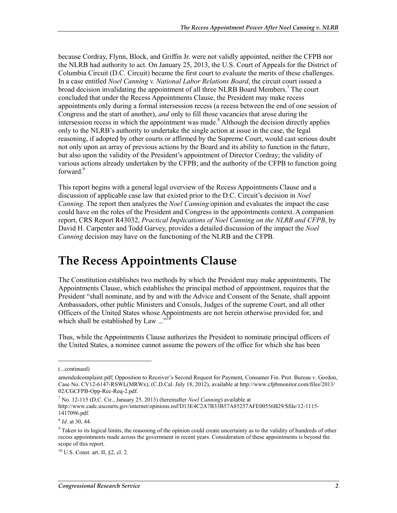because Cordray, Flynn, Block, and Griffin Jr. were not validly appointed, neither the CFPB nor the NLRB had authority to act. On January 25, 2013, the U.S. Court of Appeals for the District of Columbia Circuit (D.C. Circuit) became the first court to evaluate the merits of these challenges. In a case entitled *Noel Canning v. National Labor Relations Board*, the circuit court issued a broad decision invalidating the appointment of all three NLRB Board Members.<sup>7</sup> The court concluded that under the Recess Appointments Clause, the President may make recess appointments only during a formal intersession recess (a recess between the end of one session of Congress and the start of another), *and* only to fill those vacancies that arose during the intersession recess in which the appointment was made.<sup>8</sup> Although the decision directly applies only to the NLRB's authority to undertake the single action at issue in the case, the legal reasoning, if adopted by other courts or affirmed by the Supreme Court, would cast serious doubt not only upon an array of previous actions by the Board and its ability to function in the future, but also upon the validity of the President's appointment of Director Cordray; the validity of various actions already undertaken by the CFPB; and the authority of the CFPB to function going forward.<sup>9</sup>

This report begins with a general legal overview of the Recess Appointments Clause and a discussion of applicable case law that existed prior to the D.C. Circuit's decision in *Noel Canning*. The report then analyzes the *Noel Canning* opinion and evaluates the impact the case could have on the roles of the President and Congress in the appointments context. A companion report, CRS Report R43032, *Practical Implications of Noel Canning on the NLRB and CFPB*, by David H. Carpenter and Todd Garvey, provides a detailed discussion of the impact the *Noel Canning* decision may have on the functioning of the NLRB and the CFPB.

### **The Recess Appointments Clause**

The Constitution establishes two methods by which the President may make appointments. The Appointments Clause, which establishes the principal method of appointment, requires that the President "shall nominate, and by and with the Advice and Consent of the Senate, shall appoint Ambassadors, other public Ministers and Consuls, Judges of the supreme Court, and all other Officers of the United States whose Appointments are not herein otherwise provided for, and which shall be established by Law  $\cdots$ <sup>10</sup>

Thus, while the Appointments Clause authorizes the President to nominate principal officers of the United States, a nominee cannot assume the powers of the office for which she has been

<sup>(...</sup>continued)

amendedcomplaint.pdf; Opposition to Receiver's Second Request for Payment, Consumer Fin. Prot. Bureau v. Gordon, Case No. CV12-6147-RSWL(MRWx), (C.D.Cal. July 18, 2012), available at http://www.cfpbmonitor.com/files/2013/ 02/CGCFPB-Opp-Rec-Req-2.pdf.

<sup>7</sup> No. 12-115 (D.C. Cir., January 25, 2013) (hereinafter *Noel Canning*) available at

http://www.cadc.uscourts.gov/internet/opinions.nsf/D13E4C2A7B33B57A85257AFE00556B29/\$file/12-1115- 1417096.pdf.

<sup>8</sup> *Id*. at 30, 44.

<sup>&</sup>lt;sup>9</sup> Taken to its logical limits, the reasoning of the opinion could create uncertainty as to the validity of hundreds of other recess appointments made across the government in recent years. Consideration of these appointments is beyond the scope of this report.

<sup>10</sup> U.S. Const. art. II, §2, cl. 2.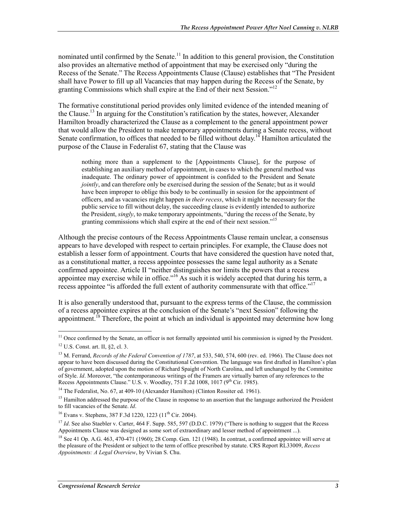nominated until confirmed by the Senate.<sup>11</sup> In addition to this general provision, the Constitution also provides an alternative method of appointment that may be exercised only "during the Recess of the Senate." The Recess Appointments Clause (Clause) establishes that "The President shall have Power to fill up all Vacancies that may happen during the Recess of the Senate, by granting Commissions which shall expire at the End of their next Session."<sup>12</sup>

The formative constitutional period provides only limited evidence of the intended meaning of the Clause.<sup>13</sup> In arguing for the Constitution's ratification by the states, however, Alexander Hamilton broadly characterized the Clause as a complement to the general appointment power that would allow the President to make temporary appointments during a Senate recess, without Senate confirmation, to offices that needed to be filled without delay.<sup>14</sup> Hamilton articulated the purpose of the Clause in Federalist 67, stating that the Clause was

nothing more than a supplement to the [Appointments Clause], for the purpose of establishing an auxiliary method of appointment, in cases to which the general method was inadequate. The ordinary power of appointment is confided to the President and Senate *jointly*, and can therefore only be exercised during the session of the Senate; but as it would have been improper to oblige this body to be continually in session for the appointment of officers, and as vacancies might happen *in their recess*, which it might be necessary for the public service to fill without delay, the succeeding clause is evidently intended to authorize the President, *singly*, to make temporary appointments, "during the recess of the Senate, by granting commissions which shall expire at the end of their next session."<sup>15</sup>

Although the precise contours of the Recess Appointments Clause remain unclear, a consensus appears to have developed with respect to certain principles. For example, the Clause does not establish a lesser form of appointment. Courts that have considered the question have noted that, as a constitutional matter, a recess appointee possesses the same legal authority as a Senate confirmed appointee. Article II "neither distinguishes nor limits the powers that a recess appointee may exercise while in office.<sup> $16$ </sup> As such it is widely accepted that during his term, a recess appointee "is afforded the full extent of authority commensurate with that office."<sup>17</sup>

It is also generally understood that, pursuant to the express terms of the Clause, the commission of a recess appointee expires at the conclusion of the Senate's "next Session" following the appointment.<sup>18</sup> Therefore, the point at which an individual is appointed may determine how long

<sup>&</sup>lt;u>.</u>  $11$  Once confirmed by the Senate, an officer is not formally appointed until his commission is signed by the President. 12 U.S. Const. art. II, §2, cl. 3.

<sup>&</sup>lt;sup>13</sup> M. Ferrand, *Records of the Federal Convention of 1787*, at 533, 540, 574, 600 (rev. ed. 1966). The Clause does not appear to have been discussed during the Constitutional Convention. The language was first drafted in Hamilton's plan of government, adopted upon the motion of Richard Spaight of North Carolina, and left unchanged by the Committee of Style. *Id*. Moreover, "the contemporaneous writings of the Framers are virtually barren of any references to the Recess Appointments Clause." U.S. v. Woodley,  $751$  F.2d 1008, 1017 (9<sup>th</sup> Cir. 1985).

<sup>&</sup>lt;sup>14</sup> The Federalist, No. 67, at 409-10 (Alexander Hamilton) (Clinton Rossiter ed. 1961).

<sup>&</sup>lt;sup>15</sup> Hamilton addressed the purpose of the Clause in response to an assertion that the language authorized the President to fill vacancies of the Senate. *Id*.

<sup>&</sup>lt;sup>16</sup> Evans v. Stephens, 387 F.3d 1220, 1223 (11<sup>th</sup> Cir. 2004).

<sup>&</sup>lt;sup>17</sup> *Id.* See also Staebler v. Carter, 464 F. Supp. 585, 597 (D.D.C. 1979) ("There is nothing to suggest that the Recess") Appointments Clause was designed as some sort of extraordinary and lesser method of appointment ...).

 $18$  See 41 Op. A.G. 463, 470-471 (1960); 28 Comp. Gen. 121 (1948). In contrast, a confirmed appointee will serve at the pleasure of the President or subject to the term of office prescribed by statute. CRS Report RL33009, *Recess Appointments: A Legal Overview*, by Vivian S. Chu.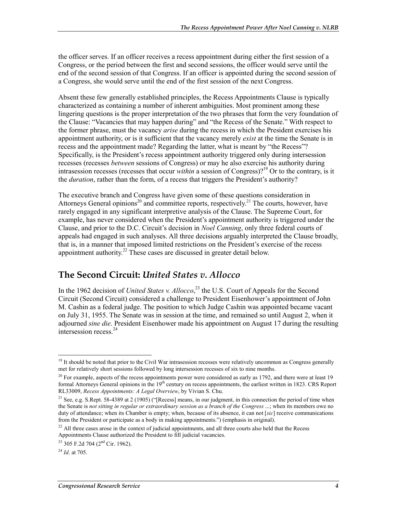the officer serves. If an officer receives a recess appointment during either the first session of a Congress, or the period between the first and second sessions, the officer would serve until the end of the second session of that Congress. If an officer is appointed during the second session of a Congress, she would serve until the end of the first session of the next Congress.

Absent these few generally established principles, the Recess Appointments Clause is typically characterized as containing a number of inherent ambiguities. Most prominent among these lingering questions is the proper interpretation of the two phrases that form the very foundation of the Clause: "Vacancies that may happen during" and "the Recess of the Senate." With respect to the former phrase, must the vacancy *arise* during the recess in which the President exercises his appointment authority, or is it sufficient that the vacancy merely *exist* at the time the Senate is in recess and the appointment made? Regarding the latter, what is meant by "the Recess"? Specifically, is the President's recess appointment authority triggered only during intersession recesses (recesses *between* sessions of Congress) or may he also exercise his authority during intrasession recesses (recesses that occur *within* a session of Congress)?<sup>19</sup> Or to the contrary, is it the *duration*, rather than the form, of a recess that triggers the President's authority?

The executive branch and Congress have given some of these questions consideration in Attorneys General opinions<sup>20</sup> and committee reports, respectively.<sup>21</sup> The courts, however, have rarely engaged in any significant interpretive analysis of the Clause. The Supreme Court, for example, has never considered when the President's appointment authority is triggered under the Clause, and prior to the D.C. Circuit's decision in *Noel Canning*, only three federal courts of appeals had engaged in such analyses. All three decisions arguably interpreted the Clause broadly, that is, in a manner that imposed limited restrictions on the President's exercise of the recess appointment authority.<sup>22</sup> These cases are discussed in greater detail below.

#### **The Second Circuit:** *United States v. Allocco*

In the 1962 decision of *United States v. Allocco*<sup>23</sup> the U.S. Court of Appeals for the Second Circuit (Second Circuit) considered a challenge to President Eisenhower's appointment of John M. Cashin as a federal judge. The position to which Judge Cashin was appointed became vacant on July 31, 1955. The Senate was in session at the time, and remained so until August 2, when it adjourned *sine die*. President Eisenhower made his appointment on August 17 during the resulting intersession recess.<sup>24</sup>

<u>.</u>

 $19$  It should be noted that prior to the Civil War intrasession recesses were relatively uncommon as Congress generally met for relatively short sessions followed by long intersession recesses of six to nine months.

<sup>&</sup>lt;sup>20</sup> For example, aspects of the recess appointments power were considered as early as 1792, and there were at least 19 formal Attorneys General opinions in the 19<sup>th</sup> century on recess appointments, the earliest written in 1823. CRS Report RL33009, *Recess Appointments: A Legal Overview*, by Vivian S. Chu.

<sup>&</sup>lt;sup>21</sup> See, e.g. S.Rept. 58-4389 at 2 (1905) ("[Recess] means, in our judgment, in this connection the period of time when the Senate is *not sitting in regular or extraordinary session as a branch of the Congress* ...; when its members owe no duty of attendance; when its Chamber is empty; when, because of its absence, it can not [*sic*] receive communications from the President or participate as a body in making appointments.") (emphasis in original).

<sup>&</sup>lt;sup>22</sup> All three cases arose in the context of judicial appointments, and all three courts also held that the Recess Appointments Clause authorized the President to fill judicial vacancies.

 $^{23}$  305 F.2d 704 (2<sup>nd</sup> Cir. 1962).

<sup>24</sup> *Id*. at 705.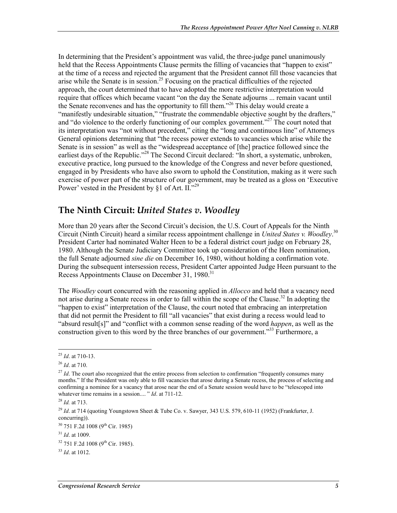In determining that the President's appointment was valid, the three-judge panel unanimously held that the Recess Appointments Clause permits the filling of vacancies that "happen to exist" at the time of a recess and rejected the argument that the President cannot fill those vacancies that arise while the Senate is in session.<sup>25</sup> Focusing on the practical difficulties of the rejected approach, the court determined that to have adopted the more restrictive interpretation would require that offices which became vacant "on the day the Senate adjourns ... remain vacant until the Senate reconvenes and has the opportunity to fill them."26 This delay would create a "manifestly undesirable situation," "frustrate the commendable objective sought by the drafters," and "do violence to the orderly functioning of our complex government."<sup>27</sup> The court noted that its interpretation was "not without precedent," citing the "long and continuous line" of Attorneys General opinions determining that "the recess power extends to vacancies which arise while the Senate is in session" as well as the "widespread acceptance of [the] practice followed since the earliest days of the Republic."<sup>28</sup> The Second Circuit declared: "In short, a systematic, unbroken, executive practice, long pursued to the knowledge of the Congress and never before questioned, engaged in by Presidents who have also sworn to uphold the Constitution, making as it were such exercise of power part of the structure of our government, may be treated as a gloss on 'Executive Power' vested in the President by §1 of Art. II."<sup>29</sup>

#### **The Ninth Circuit:** *United States v. Woodley*

More than 20 years after the Second Circuit's decision, the U.S. Court of Appeals for the Ninth Circuit (Ninth Circuit) heard a similar recess appointment challenge in *United States v. Woodley*. 30 President Carter had nominated Walter Heen to be a federal district court judge on February 28, 1980. Although the Senate Judiciary Committee took up consideration of the Heen nomination, the full Senate adjourned *sine die* on December 16, 1980, without holding a confirmation vote. During the subsequent intersession recess, President Carter appointed Judge Heen pursuant to the Recess Appointments Clause on December 31, 1980.<sup>31</sup>

The *Woodley* court concurred with the reasoning applied in *Allocco* and held that a vacancy need not arise during a Senate recess in order to fall within the scope of the Clause.<sup>32</sup> In adopting the "happen to exist" interpretation of the Clause, the court noted that embracing an interpretation that did not permit the President to fill "all vacancies" that exist during a recess would lead to "absurd result[s]" and "conflict with a common sense reading of the word *happen*, as well as the construction given to this word by the three branches of our government."<sup>33</sup> Furthermore, a

<u>.</u>

<sup>25</sup> *Id*. at 710-13.

<sup>26</sup> *Id*. at 710.

<sup>&</sup>lt;sup>27</sup> *Id*. The court also recognized that the entire process from selection to confirmation "frequently consumes many months." If the President was only able to fill vacancies that arose during a Senate recess, the process of selecting and confirming a nominee for a vacancy that arose near the end of a Senate session would have to be "telescoped into whatever time remains in a session.... " *Id*. at 711-12.

<sup>28</sup> *Id.* at 713.

<sup>29</sup> *Id*. at 714 (quoting Youngstown Sheet & Tube Co. v. Sawyer, 343 U.S. 579, 610-11 (1952) (Frankfurter, J. concurring)).

<sup>&</sup>lt;sup>30</sup> 751 F.2d 1008 (9<sup>th</sup> Cir. 1985)

<sup>31</sup> *Id*. at 1009.

 $32$  751 F.2d 1008 (9<sup>th</sup> Cir. 1985).

<sup>33</sup> *Id*. at 1012.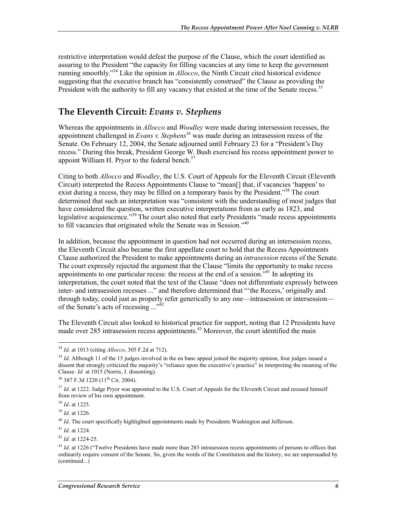restrictive interpretation would defeat the purpose of the Clause, which the court identified as assuring to the President "the capacity for filling vacancies at any time to keep the government running smoothly."34 Like the opinion in *Allocco*, the Ninth Circuit cited historical evidence suggesting that the executive branch has "consistently construed" the Clause as providing the President with the authority to fill any vacancy that existed at the time of the Senate recess.<sup>35</sup>

#### **The Eleventh Circuit:** *Evans v. Stephens*

Whereas the appointments in *Allocco* and *Woodley* were made during intersession recesses, the appointment challenged in *Evans v. Stephens*<sup>36</sup> was made during an intrasession recess of the Senate. On February 12, 2004, the Senate adjourned until February 23 for a "President's Day recess." During this break, President George W. Bush exercised his recess appointment power to appoint William H. Pryor to the federal bench. $37$ 

Citing to both *Allocco* and *Woodley*, the U.S. Court of Appeals for the Eleventh Circuit (Eleventh Circuit) interpreted the Recess Appointments Clause to "mean[] that, if vacancies 'happen' to exist during a recess, they may be filled on a temporary basis by the President."<sup>38</sup> The court determined that such an interpretation was "consistent with the understanding of most judges that have considered the question, written executive interpretations from as early as 1823, and legislative acquiescence."<sup>39</sup> The court also noted that early Presidents "made recess appointments" to fill vacancies that originated while the Senate was in Session."<sup>40</sup>

In addition, because the appointment in question had not occurred during an intersession recess, the Eleventh Circuit also became the first appellate court to hold that the Recess Appointments Clause authorized the President to make appointments during an *intrasession* recess of the Senate. The court expressly rejected the argument that the Clause "limits the opportunity to make recess appointments to one particular recess: the recess at the end of a session.<sup> $341$ </sup> In adopting its interpretation, the court noted that the text of the Clause "does not differentiate expressly between inter- and intrasession recesses ..." and therefore determined that "'the Recess,' originally and through today, could just as properly refer generically to any one—intrasession or intersession of the Senate's acts of recessing ..."<sup>42</sup>

The Eleventh Circuit also looked to historical practice for support, noting that 12 Presidents have made over 285 intrasession recess appointments.<sup>43</sup> Moreover, the court identified the main

<u>.</u>

<sup>39</sup> *Id*. at 1226.

<sup>40</sup> *Id*. The court specifically highlighted appointments made by Presidents Washington and Jefferson.

<sup>41</sup> *Id*. at 1224.

<sup>42</sup> *Id.* at 1224-25.

<sup>34</sup> *Id*. at 1013 (citing *Allocco*, 305 F.2d at 712).

<sup>&</sup>lt;sup>35</sup> *Id.* Although 11 of the 15 judges involved in the en banc appeal joined the majority opinion, four judges issued a dissent that strongly criticized the majority's "reliance upon the executive's practice" in interpreting the meaning of the Clause. *Id*. at 1015 (Norris, J. dissenting).

 $36$  387 F.3d 1220 (11<sup>th</sup> Cir. 2004).

<sup>&</sup>lt;sup>37</sup> *Id.* at 1222. Judge Pryor was appointed to the U.S. Court of Appeals for the Eleventh Circuit and recused himself from review of his own appointment.

<sup>38</sup> *Id*. at 1225.

<sup>&</sup>lt;sup>43</sup> *Id.* at 1226 ("Twelve Presidents have made more than 285 intrasession recess appointments of persons to offices that ordinarily require consent of the Senate. So, given the words of the Constitution and the history, we are unpersuaded by (continued...)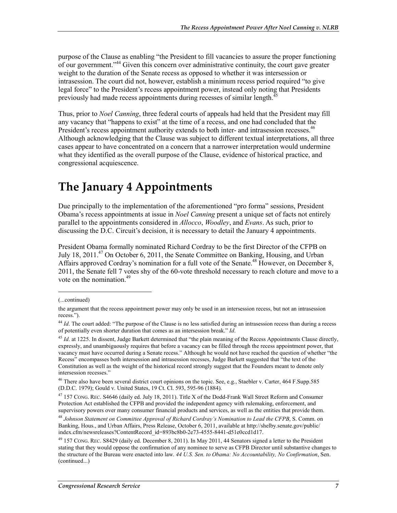purpose of the Clause as enabling "the President to fill vacancies to assure the proper functioning of our government."44 Given this concern over administrative continuity, the court gave greater weight to the duration of the Senate recess as opposed to whether it was intersession or intrasession. The court did not, however, establish a minimum recess period required "to give legal force" to the President's recess appointment power, instead only noting that Presidents previously had made recess appointments during recesses of similar length.<sup>45</sup>

Thus, prior to *Noel Canning*, three federal courts of appeals had held that the President may fill any vacancy that "happens to exist" at the time of a recess, and one had concluded that the President's recess appointment authority extends to both inter- and intrasession recesses.<sup>46</sup> Although acknowledging that the Clause was subject to different textual interpretations, all three cases appear to have concentrated on a concern that a narrower interpretation would undermine what they identified as the overall purpose of the Clause, evidence of historical practice, and congressional acquiescence.

### **The January 4 Appointments**

Due principally to the implementation of the aforementioned "pro forma" sessions, President Obama's recess appointments at issue in *Noel Canning* present a unique set of facts not entirely parallel to the appointments considered in *Allocco*, *Woodley*, and *Evans*. As such, prior to discussing the D.C. Circuit's decision, it is necessary to detail the January 4 appointments.

President Obama formally nominated Richard Cordray to be the first Director of the CFPB on July 18, 2011.<sup>47</sup> On October 6, 2011, the Senate Committee on Banking, Housing, and Urban Affairs approved Cordray's nomination for a full vote of the Senate.<sup>48</sup> However, on December 8, 2011, the Senate fell 7 votes shy of the 60-vote threshold necessary to reach cloture and move to a vote on the nomination.<sup>49</sup>

<sup>(...</sup>continued)

the argument that the recess appointment power may only be used in an intersession recess, but not an intrasession recess.").

<sup>&</sup>lt;sup>44</sup> *Id*. The court added: "The purpose of the Clause is no less satisfied during an intrasession recess than during a recess of potentially even shorter duration that comes as an intersession break." *Id*.

<sup>&</sup>lt;sup>45</sup> *Id.* at 1225. In dissent, Judge Barkett determined that "the plain meaning of the Recess Appointments Clause directly, expressly, and unambiguously requires that before a vacancy can be filled through the recess appointment power, that vacancy must have occurred during a Senate recess." Although he would not have reached the question of whether "the Recess" encompasses both intersession and intrasession recesses, Judge Barkett suggested that "the text of the Constitution as well as the weight of the historical record strongly suggest that the Founders meant to denote only intersession recesses."

<sup>&</sup>lt;sup>46</sup> There also have been several district court opinions on the topic. See, e.g., Staebler v. Carter, 464 F.Supp.585 (D.D.C. 1979); Gould v. United States, 19 Ct. Cl. 593, 595-96 (1884).

<sup>&</sup>lt;sup>47</sup> 157 CONG. REC. S4646 (daily ed. July 18, 2011). Title X of the Dodd-Frank Wall Street Reform and Consumer Protection Act established the CFPB and provided the independent agency with rulemaking, enforcement, and supervisory powers over many consumer financial products and services, as well as the entities that provide them.

<sup>48</sup> *Johnson Statement on Committee Approval of Richard Cordray's Nomination to Lead the CFPB*, S. Comm. on Banking, Hous., and Urban Affairs, Press Release, October 6, 2011, available at http://shelby.senate.gov/public/ index.cfm/newsreleases?ContentRecord\_id=893bc8b0-2e73-4555-8441-d51e0ccd1d17.

<sup>&</sup>lt;sup>49</sup> 157 CONG. REC. S8429 (daily ed. December 8, 2011). In May 2011, 44 Senators signed a letter to the President stating that they would oppose the confirmation of any nominee to serve as CFPB Director until substantive changes to the structure of the Bureau were enacted into law. *44 U.S. Sen. to Obama: No Accountability, No Confirmation*, Sen. (continued...)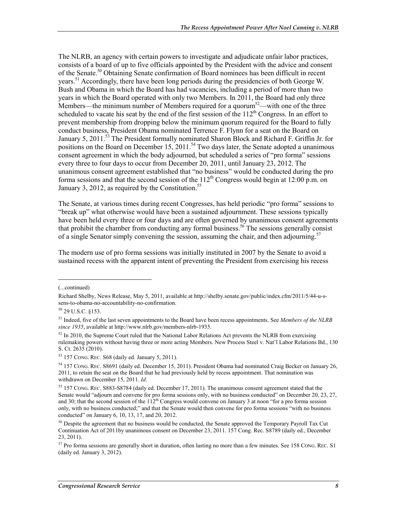The NLRB, an agency with certain powers to investigate and adjudicate unfair labor practices, consists of a board of up to five officials appointed by the President with the advice and consent of the Senate.50 Obtaining Senate confirmation of Board nominees has been difficult in recent years.<sup>51</sup> Accordingly, there have been long periods during the presidencies of both George W. Bush and Obama in which the Board has had vacancies, including a period of more than two years in which the Board operated with only two Members. In 2011, the Board had only three Members—the minimum number of Members required for a quorum<sup>52</sup>—with one of the three scheduled to vacate his seat by the end of the first session of the  $112<sup>th</sup>$  Congress. In an effort to prevent membership from dropping below the minimum quorum required for the Board to fully conduct business, President Obama nominated Terrence F. Flynn for a seat on the Board on January 5, 2011.<sup>53</sup> The President formally nominated Sharon Block and Richard F. Griffin Jr. for positions on the Board on December  $15$ ,  $2011$ .<sup>54</sup> Two days later, the Senate adopted a unanimous consent agreement in which the body adjourned, but scheduled a series of "pro forma" sessions every three to four days to occur from December 20, 2011, until January 23, 2012. The unanimous consent agreement established that "no business" would be conducted during the pro forma sessions and that the second session of the  $112<sup>th</sup>$  Congress would begin at 12:00 p.m. on January 3, 2012, as required by the Constitution.<sup>55</sup>

The Senate, at various times during recent Congresses, has held periodic "pro forma" sessions to "break up" what otherwise would have been a sustained adjournment. These sessions typically have been held every three or four days and are often governed by unanimous consent agreements that prohibit the chamber from conducting any formal business.<sup>56</sup> The sessions generally consist of a single Senator simply convening the session, assuming the chair, and then adjourning.<sup>57</sup>

The modern use of pro forma sessions was initially instituted in 2007 by the Senate to avoid a sustained recess with the apparent intent of preventing the President from exercising his recess

<sup>(...</sup>continued)

Richard Shelby, News Release, May 5, 2011, available at http://shelby.senate.gov/public/index.cfm/2011/5/44-u-ssens-to-obama-no-accountability-no-confirmation.

<sup>50 29</sup> U.S.C. §153.

<sup>51</sup> Indeed, five of the last seven appointments to the Board have been recess appointments. See *Members of the NLRB since 1935*, available at http://www.nlrb.gov/members-nlrb-1935.

<sup>&</sup>lt;sup>52</sup> In 2010, the Supreme Court ruled that the National Labor Relations Act prevents the NLRB from exercising rulemaking powers without having three or more acting Members. New Process Steel v. Nat'l Labor Relations Bd., 130 S. Ct. 2635 (2010).

<sup>53 157</sup> CONG. REC. S68 (daily ed. January 5, 2011).

<sup>54 157</sup> CONG. REC. S8691 (daily ed. December 15, 2011). President Obama had nominated Craig Becker on January 26, 2011, to retain the seat on the Board that he had previously held by recess appointment. That nomination was withdrawn on December 15, 2011. *Id*.

<sup>55 157</sup> CONG. REC. S883-S8784 (daily ed. December 17, 2011). The unanimous consent agreement stated that the Senate would "adjourn and convene for pro forma sessions only, with no business conducted" on December 20, 23, 27, and 30; that the second session of the  $112^{th}$  Congress would convene on January 3 at noon "for a pro forma session" only, with no business conducted;" and that the Senate would then convene for pro forma sessions "with no business conducted" on January 6, 10, 13, 17, and 20, 2012.

<sup>&</sup>lt;sup>56</sup> Despite the agreement that no business would be conducted, the Senate approved the Temporary Payroll Tax Cut Continuation Act of 2011by unanimous consent on December 23, 2011. 157 Cong. Rec. S8789 (daily ed., December 23, 2011).

<sup>&</sup>lt;sup>57</sup> Pro forma sessions are generally short in duration, often lasting no more than a few minutes. See 158 CONG. REC. S1 (daily ed. January 3, 2012).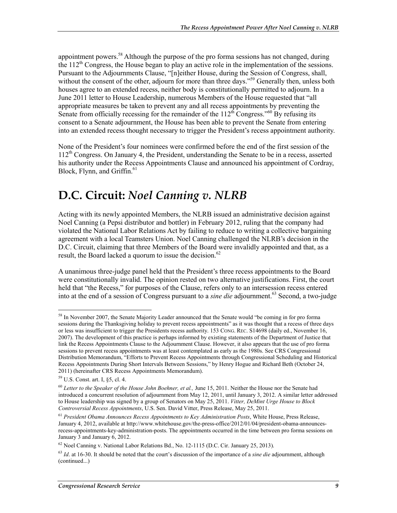appointment powers.<sup>58</sup> Although the purpose of the pro forma sessions has not changed, during the 112<sup>th</sup> Congress, the House began to play an active role in the implementation of the sessions. Pursuant to the Adjournments Clause, "[n]either House, during the Session of Congress, shall, without the consent of the other, adjourn for more than three days."<sup>59</sup> Generally then, unless both houses agree to an extended recess, neither body is constitutionally permitted to adjourn. In a June 2011 letter to House Leadership, numerous Members of the House requested that "all appropriate measures be taken to prevent any and all recess appointments by preventing the Senate from officially recessing for the remainder of the  $112^{th}$  Congress."<sup>60</sup> By refusing its consent to a Senate adjournment, the House has been able to prevent the Senate from entering into an extended recess thought necessary to trigger the President's recess appointment authority.

None of the President's four nominees were confirmed before the end of the first session of the  $112<sup>th</sup>$  Congress. On January 4, the President, understanding the Senate to be in a recess, asserted his authority under the Recess Appointments Clause and announced his appointment of Cordray, Block, Flynn, and Griffin. $61$ 

### **D.C. Circuit:** *Noel Canning v. NLRB*

Acting with its newly appointed Members, the NLRB issued an administrative decision against Noel Canning (a Pepsi distributor and bottler) in February 2012, ruling that the company had violated the National Labor Relations Act by failing to reduce to writing a collective bargaining agreement with a local Teamsters Union. Noel Canning challenged the NLRB's decision in the D.C. Circuit, claiming that three Members of the Board were invalidly appointed and that, as a result, the Board lacked a quorum to issue the decision.<sup>62</sup>

A unanimous three-judge panel held that the President's three recess appointments to the Board were constitutionally invalid. The opinion rested on two alternative justifications. First, the court held that "the Recess," for purposes of the Clause, refers only to an intersession recess entered into at the end of a session of Congress pursuant to a *sine die* adjournment.<sup>63</sup> Second, a two-judge

<sup>&</sup>lt;sup>58</sup> In November 2007, the Senate Majority Leader announced that the Senate would "be coming in for pro forma sessions during the Thanksgiving holiday to prevent recess appointments" as it was thought that a recess of three days or less was insufficient to trigger the Presidents recess authority. 153 CONG. REC. S14698 (daily ed., November 16, 2007). The development of this practice is perhaps informed by existing statements of the Department of Justice that link the Recess Appointments Clause to the Adjournment Clause. However, it also appears that the use of pro forma sessions to prevent recess appointments was at least contemplated as early as the 1980s. See CRS Congressional Distribution Memorandum, "Efforts to Prevent Recess Appointments through Congressional Scheduling and Historical Recess Appointments During Short Intervals Between Sessions," by Henry Hogue and Richard Beth (October 24, 2011) (hereinafter CRS Recess Appointments Memorandum).

<sup>59</sup> U.S. Const. art. I, §5, cl. 4.

<sup>60</sup> *Letter to the Speaker of the House John Boehner, et al.,* June 15, 2011. Neither the House nor the Senate had introduced a concurrent resolution of adjournment from May 12, 2011, until January 3, 2012. A similar letter addressed to House leadership was signed by a group of Senators on May 25, 2011. *Vitter, DeMint Urge House to Block Controversial Recess Appointments*, U.S. Sen. David Vitter, Press Release, May 25, 2011.

<sup>61</sup> *President Obama Announces Recess Appointments to Key Administration Posts*, White House, Press Release, January 4, 2012, available at http://www.whitehouse.gov/the-press-office/2012/01/04/president-obama-announcesrecess-appointments-key-administration-posts. The appointments occurred in the time between pro forma sessions on January 3 and January 6, 2012.

 $62$  Noel Canning v. National Labor Relations Bd., No. 12-1115 (D.C. Cir. January 25, 2013).

<sup>63</sup> *Id*. at 16-30. It should be noted that the court's discussion of the importance of a *sine die* adjournment, although (continued...)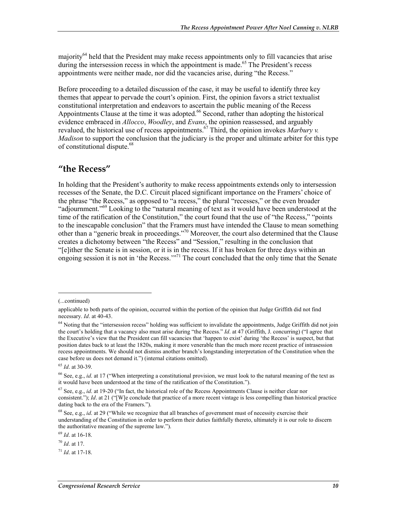majority<sup>64</sup> held that the President may make recess appointments only to fill vacancies that arise during the intersession recess in which the appointment is made.<sup>65</sup> The President's recess appointments were neither made, nor did the vacancies arise, during "the Recess."

Before proceeding to a detailed discussion of the case, it may be useful to identify three key themes that appear to pervade the court's opinion. First, the opinion favors a strict textualist constitutional interpretation and endeavors to ascertain the public meaning of the Recess Appointments Clause at the time it was adopted.<sup>66</sup> Second, rather than adopting the historical evidence embraced in *Allocco*, *Woodley*, and *Evans*, the opinion reassessed, and arguably revalued, the historical use of recess appointments.<sup>67</sup> Third, the opinion invokes *Marbury v. Madison* to support the conclusion that the judiciary is the proper and ultimate arbiter for this type of constitutional dispute.<sup>68</sup>

#### **"the Recess"**

In holding that the President's authority to make recess appointments extends only to intersession recesses of the Senate, the D.C. Circuit placed significant importance on the Framers' choice of the phrase "the Recess," as opposed to "a recess," the plural "recesses," or the even broader "adjournment."69 Looking to the "natural meaning of text as it would have been understood at the time of the ratification of the Constitution," the court found that the use of "the Recess," "points to the inescapable conclusion" that the Framers must have intended the Clause to mean something other than a "generic break in proceedings."<sup>70</sup> Moreover, the court also determined that the Clause creates a dichotomy between "the Recess" and "Session," resulting in the conclusion that "[e]ither the Senate is in session, or it is in the recess. If it has broken for three days within an ongoing session it is not in 'the Recess.'"71 The court concluded that the only time that the Senate

1

<sup>65</sup> *Id*. at 30-39.

<sup>69</sup> *Id*. at 16-18.

<sup>(...</sup>continued)

applicable to both parts of the opinion, occurred within the portion of the opinion that Judge Griffith did not find necessary. *Id*. at 40-43.

<sup>&</sup>lt;sup>64</sup> Noting that the "intersession recess" holding was sufficient to invalidate the appointments, Judge Griffith did not join the court's holding that a vacancy also must arise during "the Recess." *Id*. at 47 (Griffith, J. concurring) ("I agree that the Executive's view that the President can fill vacancies that 'happen to exist' during 'the Recess' is suspect, but that position dates back to at least the 1820s, making it more venerable than the much more recent practice of intrasession recess appointments. We should not dismiss another branch's longstanding interpretation of the Constitution when the case before us does not demand it.") (internal citations omitted).

<sup>66</sup> See, e.g., *id*. at 17 ("When interpreting a constitutional provision, we must look to the natural meaning of the text as it would have been understood at the time of the ratification of the Constitution.").

<sup>67</sup> See, e.g., *id*. at 19-20 ("In fact, the historical role of the Recess Appointments Clause is neither clear nor consistent."); *Id.* at 21 ("[W]e conclude that practice of a more recent vintage is less compelling than historical practice dating back to the era of the Framers.").

<sup>&</sup>lt;sup>68</sup> See, e.g., *id.* at 29 ("While we recognize that all branches of government must of necessity exercise their understanding of the Constitution in order to perform their duties faithfully thereto, ultimately it is our role to discern the authoritative meaning of the supreme law.").

<sup>70</sup> *Id*. at 17.

<sup>71</sup> *Id*. at 17-18.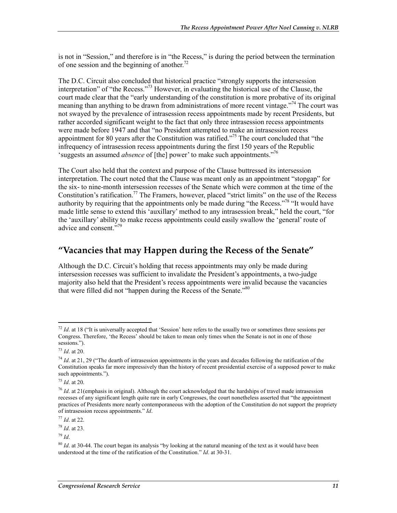is not in "Session," and therefore is in "the Recess," is during the period between the termination of one session and the beginning of another.<sup>72</sup>

The D.C. Circuit also concluded that historical practice "strongly supports the intersession interpretation" of "the Recess."73 However, in evaluating the historical use of the Clause, the court made clear that the "early understanding of the constitution is more probative of its original meaning than anything to be drawn from administrations of more recent vintage.<sup>774</sup> The court was not swayed by the prevalence of intrasession recess appointments made by recent Presidents, but rather accorded significant weight to the fact that only three intrasession recess appointments were made before 1947 and that "no President attempted to make an intrasession recess appointment for 80 years after the Constitution was ratified."<sup>75</sup> The court concluded that "the infrequency of intrasession recess appointments during the first 150 years of the Republic 'suggests an assumed *absence* of [the] power' to make such appointments."76

The Court also held that the context and purpose of the Clause buttressed its intersession interpretation. The court noted that the Clause was meant only as an appointment "stopgap" for the six- to nine-month intersession recesses of the Senate which were common at the time of the Constitution's ratification.<sup>77</sup> The Framers, however, placed "strict limits" on the use of the Recess authority by requiring that the appointments only be made during "the Recess."<sup>78</sup> "It would have made little sense to extend this 'auxillary' method to any intrasession break," held the court, "for the 'auxillary' ability to make recess appointments could easily swallow the 'general' route of advice and consent."<sup>79</sup>

#### **"Vacancies that may Happen during the Recess of the Senate"**

Although the D.C. Circuit's holding that recess appointments may only be made during intersession recesses was sufficient to invalidate the President's appointments, a two-judge majority also held that the President's recess appointments were invalid because the vacancies that were filled did not "happen during the Recess of the Senate."<sup>80</sup>

1

<sup>75</sup> *Id*. at 20.

<sup>77</sup> *Id*. at 22.

<sup>78</sup> *Id*. at 23.

<sup>79</sup> *Id*.

<sup>&</sup>lt;sup>72</sup> *Id.* at 18 ("It is universally accepted that 'Session' here refers to the usually two or sometimes three sessions per Congress. Therefore, 'the Recess' should be taken to mean only times when the Senate is not in one of those sessions.").

<sup>73</sup> *Id*. at 20.

<sup>&</sup>lt;sup>74</sup> *Id.* at 21, 29 ("The dearth of intrasession appointments in the years and decades following the ratification of the Constitution speaks far more impressively than the history of recent presidential exercise of a supposed power to make such appointments.").

<sup>76</sup> *Id*. at 21(emphasis in original). Although the court acknowledged that the hardships of travel made intrasession recesses of any significant length quite rare in early Congresses, the court nonetheless asserted that "the appointment practices of Presidents more nearly contemporaneous with the adoption of the Constitution do not support the propriety of intrasession recess appointments." *Id*.

<sup>&</sup>lt;sup>80</sup> *Id.* at 30-44. The court began its analysis "by looking at the natural meaning of the text as it would have been understood at the time of the ratification of the Constitution." *Id*. at 30-31.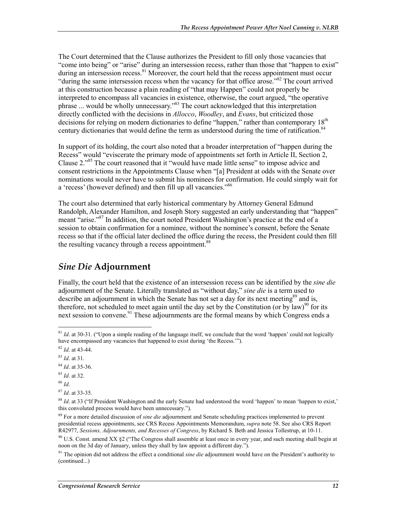The Court determined that the Clause authorizes the President to fill only those vacancies that "come into being" or "arise" during an intersession recess, rather than those that "happen to exist" during an intersession recess. $81$  Moreover, the court held that the recess appointment must occur "during the same intersession recess when the vacancy for that office arose."<sup>82</sup> The court arrived at this construction because a plain reading of "that may Happen" could not properly be interpreted to encompass all vacancies in existence, otherwise, the court argued, "the operative phrase ... would be wholly unnecessary."<sup>83</sup> The court acknowledged that this interpretation directly conflicted with the decisions in *Allocco*, *Woodley*, and *Evans*, but criticized those decisions for relying on modern dictionaries to define "happen," rather than contemporary 18<sup>th</sup> century dictionaries that would define the term as understood during the time of ratification.<sup>84</sup>

In support of its holding, the court also noted that a broader interpretation of "happen during the Recess" would "eviscerate the primary mode of appointments set forth in Article II, Section 2, Clause 2."85 The court reasoned that it "would have made little sense" to impose advice and consent restrictions in the Appointments Clause when "[a] President at odds with the Senate over nominations would never have to submit his nominees for confirmation. He could simply wait for a 'recess' (however defined) and then fill up all vacancies."86

The court also determined that early historical commentary by Attorney General Edmund Randolph, Alexander Hamilton, and Joseph Story suggested an early understanding that "happen" meant "arise."<sup>87</sup> In addition, the court noted President Washington's practice at the end of a session to obtain confirmation for a nominee, without the nominee's consent, before the Senate recess so that if the official later declined the office during the recess, the President could then fill the resulting vacancy through a recess appointment.<sup>88</sup>

### *Sine Die* **Adjournment**

Finally, the court held that the existence of an intersession recess can be identified by the *sine die* adjournment of the Senate. Literally translated as "without day," *sine die* is a term used to describe an adjournment in which the Senate has not set a day for its next meeting<sup>89</sup> and is, therefore, not scheduled to meet again until the day set by the Constitution (or by law)<sup>90</sup> for its next session to convene.<sup>91</sup> These adjournments are the formal means by which Congress ends a

- <sup>85</sup> *Id*. at 32.
- <sup>86</sup> *Id*.

<u>.</u>

<sup>87</sup> *Id*. at 33-35.

<sup>81</sup> *Id*. at 30-31. ("Upon a simple reading of the language itself, we conclude that the word 'happen' could not logically have encompassed any vacancies that happened to exist during 'the Recess.'").

<sup>82</sup> *Id*. at 43-44.

<sup>83</sup> *Id*. at 31.

<sup>84</sup> *Id*. at 35-36.

<sup>&</sup>lt;sup>88</sup> *Id.* at 33 ("If President Washington and the early Senate had understood the word 'happen' to mean 'happen to exist,' this convoluted process would have been unnecessary.").

<sup>89</sup> For a more detailed discussion of *sine die* adjournment and Senate scheduling practices implemented to prevent presidential recess appointments, see CRS Recess Appointments Memorandum, *supra* note 58. See also CRS Report R42977, *Sessions, Adjournments, and Recesses of Congress*, by Richard S. Beth and Jessica Tollestrup, at 10-11.

<sup>90</sup> U.S. Const. amend XX §2 ("The Congress shall assemble at least once in every year, and such meeting shall begin at noon on the 3d day of January, unless they shall by law appoint a different day.").

<sup>91</sup> The opinion did not address the effect a conditional *sine die* adjournment would have on the President's authority to (continued...)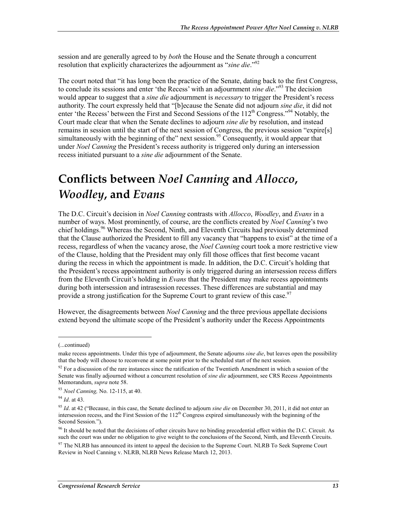session and are generally agreed to by *both* the House and the Senate through a concurrent resolution that explicitly characterizes the adjournment as "*sine die*."92

The court noted that "it has long been the practice of the Senate, dating back to the first Congress, to conclude its sessions and enter 'the Recess' with an adjournment *sine die*."93 The decision would appear to suggest that a *sine die* adjournment is *necessary* to trigger the President's recess authority. The court expressly held that "[b]ecause the Senate did not adjourn *sine die*, it did not enter 'the Recess' between the First and Second Sessions of the 112<sup>th</sup> Congress."<sup>94</sup> Notably, the Court made clear that when the Senate declines to adjourn *sine die* by resolution, and instead remains in session until the start of the next session of Congress, the previous session "expire[s] simultaneously with the beginning of the" next session.<sup>95</sup> Consequently, it would appear that under *Noel Canning* the President's recess authority is triggered only during an intersession recess initiated pursuant to a *sine die* adjournment of the Senate.

# **Conflicts between** *Noel Canning* **and** *Allocco***,**  *Woodley***, and** *Evans*

The D.C. Circuit's decision in *Noel Canning* contrasts with *Allocco*, *Woodley*, and *Evans* in a number of ways. Most prominently, of course, are the conflicts created by *Noel Canning*'s two chief holdings.<sup>96</sup> Whereas the Second, Ninth, and Eleventh Circuits had previously determined that the Clause authorized the President to fill any vacancy that "happens to exist" at the time of a recess, regardless of when the vacancy arose, the *Noel Canning* court took a more restrictive view of the Clause, holding that the President may only fill those offices that first become vacant during the recess in which the appointment is made. In addition, the D.C. Circuit's holding that the President's recess appointment authority is only triggered during an intersession recess differs from the Eleventh Circuit's holding in *Evans* that the President may make recess appointments during both intersession and intrasession recesses. These differences are substantial and may provide a strong justification for the Supreme Court to grant review of this case.<sup>97</sup>

However, the disagreements between *Noel Canning* and the three previous appellate decisions extend beyond the ultimate scope of the President's authority under the Recess Appointments

<sup>(...</sup>continued)

make recess appointments. Under this type of adjournment, the Senate adjourns *sine die*, but leaves open the possibility that the body will choose to reconvene at some point prior to the scheduled start of the next session.

 $92$  For a discussion of the rare instances since the ratification of the Twentieth Amendment in which a session of the Senate was finally adjourned without a concurrent resolution of *sine die* adjournment, see CRS Recess Appointments Memorandum, *supra* note 58.

<sup>93</sup> *Noel Canning,* No. 12-115, at 40.

<sup>94</sup> *Id*. at 43.

<sup>95</sup> *Id*. at 42 ("Because, in this case, the Senate declined to adjourn *sine die* on December 30, 2011, it did not enter an intersession recess, and the First Session of the  $112<sup>th</sup>$  Congress expired simultaneously with the beginning of the Second Session.").

<sup>&</sup>lt;sup>96</sup> It should be noted that the decisions of other circuits have no binding precedential effect within the D.C. Circuit. As such the court was under no obligation to give weight to the conclusions of the Second, Ninth, and Eleventh Circuits.

<sup>&</sup>lt;sup>97</sup> The NLRB has announced its intent to appeal the decision to the Supreme Court. NLRB To Seek Supreme Court Review in Noel Canning v. NLRB, NLRB News Release March 12, 2013.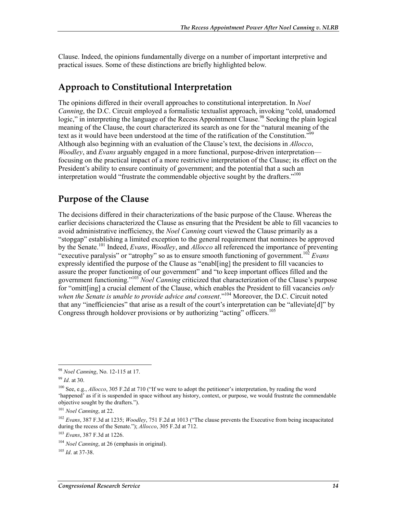Clause. Indeed, the opinions fundamentally diverge on a number of important interpretive and practical issues. Some of these distinctions are briefly highlighted below.

#### **Approach to Constitutional Interpretation**

The opinions differed in their overall approaches to constitutional interpretation. In *Noel Canning*, the D.C. Circuit employed a formalistic textualist approach, invoking "cold, unadorned logic," in interpreting the language of the Recess Appointment Clause.<sup>98</sup> Seeking the plain logical meaning of the Clause, the court characterized its search as one for the "natural meaning of the text as it would have been understood at the time of the ratification of the Constitution."<sup>99</sup> Although also beginning with an evaluation of the Clause's text, the decisions in *Allocco*, *Woodley*, and *Evans* arguably engaged in a more functional, purpose-driven interpretation focusing on the practical impact of a more restrictive interpretation of the Clause; its effect on the President's ability to ensure continuity of government; and the potential that a such an interpretation would "frustrate the commendable objective sought by the drafters."<sup>100</sup>

#### **Purpose of the Clause**

The decisions differed in their characterizations of the basic purpose of the Clause. Whereas the earlier decisions characterized the Clause as ensuring that the President be able to fill vacancies to avoid administrative inefficiency, the *Noel Canning* court viewed the Clause primarily as a "stopgap" establishing a limited exception to the general requirement that nominees be approved by the Senate.101 Indeed, *Evans*, *Woodley*, and *Allocco* all referenced the importance of preventing "executive paralysis" or "atrophy" so as to ensure smooth functioning of government.102 *Evans* expressly identified the purpose of the Clause as "enabl[ing] the president to fill vacancies to assure the proper functioning of our government" and "to keep important offices filled and the government functioning."103 *Noel Canning* criticized that characterization of the Clause's purpose for "omitt[ing] a crucial element of the Clause, which enables the President to fill vacancies *only*  when the Senate is unable to provide advice and consent."<sup>104</sup> Moreover, the D.C. Circuit noted that any "inefficiencies" that arise as a result of the court's interpretation can be "alleviate[d]" by Congress through holdover provisions or by authorizing "acting" officers.<sup>105</sup>

<u>.</u>

<sup>105</sup> *Id*. at 37-38.

<sup>98</sup> *Noel Canning*, No. 12-115 at 17.

<sup>99</sup> *Id*. at 30.

<sup>100</sup> See, e.g., *Allocco*, 305 F.2d at 710 ("If we were to adopt the petitioner's interpretation, by reading the word 'happened' as if it is suspended in space without any history, context, or purpose, we would frustrate the commendable objective sought by the drafters.").

<sup>101</sup> *Noel Canning*, at 22.

<sup>102</sup> *Evans*, 387 F.3d at 1235; *Woodley*, 751 F.2d at 1013 ("The clause prevents the Executive from being incapacitated during the recess of the Senate."); *Allocco*, 305 F.2d at 712.

<sup>103</sup> *Evans*, 387 F.3d at 1226.

<sup>104</sup> *Noel Canning*, at 26 (emphasis in original).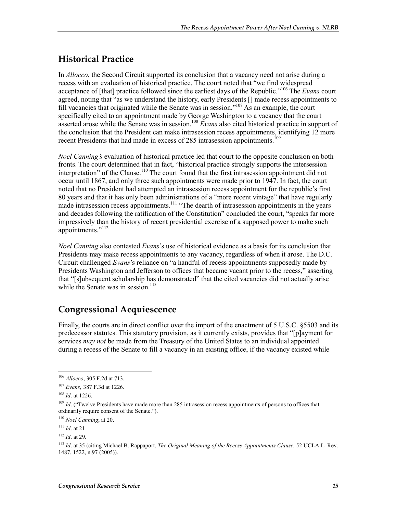### **Historical Practice**

In *Allocco*, the Second Circuit supported its conclusion that a vacancy need not arise during a recess with an evaluation of historical practice. The court noted that "we find widespread acceptance of [that] practice followed since the earliest days of the Republic."106 The *Evans* court agreed, noting that "as we understand the history, early Presidents [] made recess appointments to fill vacancies that originated while the Senate was in session."107 As an example, the court specifically cited to an appointment made by George Washington to a vacancy that the court asserted arose while the Senate was in session.<sup>108</sup> *Evans* also cited historical practice in support of the conclusion that the President can make intrasession recess appointments, identifying 12 more recent Presidents that had made in excess of 285 intrasession appointments.<sup>109</sup>

*Noel Canning's* evaluation of historical practice led that court to the opposite conclusion on both fronts. The court determined that in fact, "historical practice strongly supports the intersession interpretation" of the Clause.<sup>110</sup> The court found that the first intrasession appointment did not occur until 1867, and only three such appointments were made prior to 1947. In fact, the court noted that no President had attempted an intrasession recess appointment for the republic's first 80 years and that it has only been administrations of a "more recent vintage" that have regularly made intrasession recess appointments.<sup>111</sup> "The dearth of intrasession appointments in the years" and decades following the ratification of the Constitution" concluded the court, "speaks far more impressively than the history of recent presidential exercise of a supposed power to make such appointments."<sup>112</sup>

*Noel Canning* also contested *Evans*'s use of historical evidence as a basis for its conclusion that Presidents may make recess appointments to any vacancy, regardless of when it arose. The D.C. Circuit challenged *Evans*'s reliance on "a handful of recess appointments supposedly made by Presidents Washington and Jefferson to offices that became vacant prior to the recess," asserting that "[s]ubsequent scholarship has demonstrated" that the cited vacancies did not actually arise while the Senate was in session. $113$ 

### **Congressional Acquiescence**

Finally, the courts are in direct conflict over the import of the enactment of 5 U.S.C. §5503 and its predecessor statutes. This statutory provision, as it currently exists, provides that "[p]ayment for services *may not* be made from the Treasury of the United States to an individual appointed during a recess of the Senate to fill a vacancy in an existing office, if the vacancy existed while

<sup>106</sup> *Allocco*, 305 F.2d at 713.

<sup>107</sup> *Evans*, 387 F.3d at 1226.

<sup>108</sup> *Id*. at 1226.

<sup>&</sup>lt;sup>109</sup> *Id.* ("Twelve Presidents have made more than 285 intrasession recess appointments of persons to offices that ordinarily require consent of the Senate.").

<sup>110</sup> *Noel Canning*, at 20.

<sup>111</sup> *Id*. at 21

<sup>112</sup> *Id*. at 29.

<sup>113</sup> *Id*. at 35 (citing Michael B. Rappaport, *The Original Meaning of the Recess Appointments Clause,* 52 UCLA L. Rev. 1487, 1522, n.97 (2005)).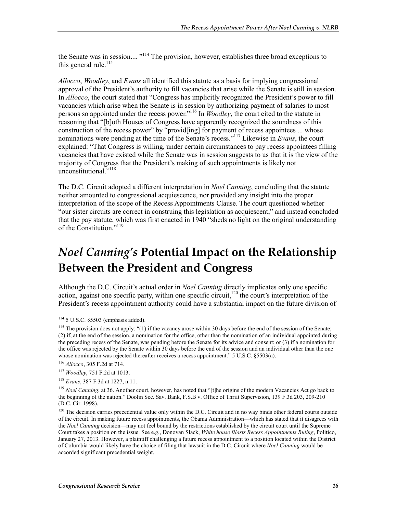the Senate was in session....<sup>"114</sup> The provision, however, establishes three broad exceptions to this general rule. $^{115}$ 

*Allocco*, *Woodley*, and *Evans* all identified this statute as a basis for implying congressional approval of the President's authority to fill vacancies that arise while the Senate is still in session. In *Allocco*, the court stated that "Congress has implicitly recognized the President's power to fill vacancies which arise when the Senate is in session by authorizing payment of salaries to most persons so appointed under the recess power."116 In *Woodley*, the court cited to the statute in reasoning that "[b]oth Houses of Congress have apparently recognized the soundness of this construction of the recess power" by "provid[ing] for payment of recess appointees ... whose nominations were pending at the time of the Senate's recess."117 Likewise in *Evans*, the court explained: "That Congress is willing, under certain circumstances to pay recess appointees filling vacancies that have existed while the Senate was in session suggests to us that it is the view of the majority of Congress that the President's making of such appointments is likely not unconstitutional."<sup>118</sup>

The D.C. Circuit adopted a different interpretation in *Noel Canning*, concluding that the statute neither amounted to congressional acquiescence, nor provided any insight into the proper interpretation of the scope of the Recess Appointments Clause. The court questioned whether "our sister circuits are correct in construing this legislation as acquiescent," and instead concluded that the pay statute, which was first enacted in 1940 "sheds no light on the original understanding of the Constitution."<sup>119</sup>

# *Noel Canning's* **Potential Impact on the Relationship Between the President and Congress**

Although the D.C. Circuit's actual order in *Noel Canning* directly implicates only one specific action, against one specific party, within one specific circuit,<sup>120</sup> the court's interpretation of the President's recess appointment authority could have a substantial impact on the future division of

<u>.</u>

 $114$  5 U.S.C. §5503 (emphasis added).

<sup>&</sup>lt;sup>115</sup> The provision does not apply: "(1) if the vacancy arose within 30 days before the end of the session of the Senate; (2) if, at the end of the session, a nomination for the office, other than the nomination of an individual appointed during the preceding recess of the Senate, was pending before the Senate for its advice and consent; or (3) if a nomination for the office was rejected by the Senate within 30 days before the end of the session and an individual other than the one whose nomination was rejected thereafter receives a recess appointment." 5 U.S.C. §5503(a).

<sup>116</sup> *Allocco*, 305 F.2d at 714.

<sup>117</sup> *Woodley*, 751 F.2d at 1013.

<sup>118</sup> *Evans*, 387 F.3d at 1227, n.11.

<sup>&</sup>lt;sup>119</sup> *Noel Canning*, at 36. Another court, however, has noted that "[t]he origins of the modern Vacancies Act go back to the beginning of the nation." Doolin Sec. Sav. Bank, F.S.B v. Office of Thrift Supervision, 139 F.3d 203, 209-210 (D.C. Cir. 1998).

 $120$  The decision carries precedential value only within the D.C. Circuit and in no way binds other federal courts outside of the circuit. In making future recess appointments, the Obama Administration—which has stated that it disagrees with the *Noel Canning* decision—may not feel bound by the restrictions established by the circuit court until the Supreme Court takes a position on the issue. See e.g., Donovan Slack, *White house Blasts Recess Appointments Ruling*, Politico, January 27, 2013. However, a plaintiff challenging a future recess appointment to a position located within the District of Columbia would likely have the choice of filing that lawsuit in the D.C. Circuit where *Noel Canning* would be accorded significant precedential weight.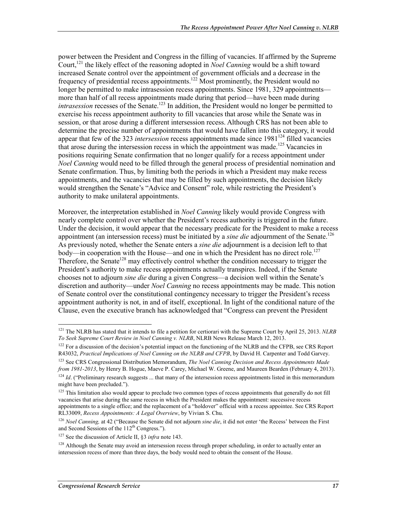power between the President and Congress in the filling of vacancies. If affirmed by the Supreme Court,121 the likely effect of the reasoning adopted in *Noel Canning* would be a shift toward increased Senate control over the appointment of government officials and a decrease in the frequency of presidential recess appointments.<sup>122</sup> Most prominently, the President would no longer be permitted to make intrasession recess appointments. Since 1981, 329 appointments more than half of all recess appointments made during that period—have been made during *intrasession* recesses of the Senate.<sup>123</sup> In addition, the President would no longer be permitted to exercise his recess appointment authority to fill vacancies that arose while the Senate was in session, or that arose during a different intersession recess. Although CRS has not been able to determine the precise number of appointments that would have fallen into this category, it would appear that few of the 323 *intersession* recess appointments made since 1981<sup>124</sup> filled vacancies that arose during the intersession recess in which the appointment was made.<sup>125</sup> Vacancies in positions requiring Senate confirmation that no longer qualify for a recess appointment under *Noel Canning* would need to be filled through the general process of presidential nomination and Senate confirmation. Thus, by limiting both the periods in which a President may make recess appointments, and the vacancies that may be filled by such appointments, the decision likely would strengthen the Senate's "Advice and Consent" role, while restricting the President's authority to make unilateral appointments.

Moreover, the interpretation established in *Noel Canning* likely would provide Congress with nearly complete control over whether the President's recess authority is triggered in the future. Under the decision, it would appear that the necessary predicate for the President to make a recess appointment (an intersession recess) must be initiated by a *sine die* adjournment of the Senate.<sup>126</sup> As previously noted, whether the Senate enters a *sine die* adjournment is a decision left to that body—in cooperation with the House—and one in which the President has no direct role.<sup>127</sup> Therefore, the Senate<sup>128</sup> may effectively control whether the condition necessary to trigger the President's authority to make recess appointments actually transpires. Indeed, if the Senate chooses not to adjourn *sine die* during a given Congress—a decision well within the Senate's discretion and authority—under *Noel Canning* no recess appointments may be made. This notion of Senate control over the constitutional contingency necessary to trigger the President's recess appointment authority is not, in and of itself, exceptional. In light of the conditional nature of the Clause, even the executive branch has acknowledged that "Congress can prevent the President

<sup>121</sup> The NLRB has stated that it intends to file a petition for certiorari with the Supreme Court by April 25, 2013. *NLRB To Seek Supreme Court Review in Noel Canning v. NLRB*, NLRB News Release March 12, 2013.

<sup>&</sup>lt;sup>122</sup> For a discussion of the decision's potential impact on the functioning of the NLRB and the CFPB, see CRS Report R43032, *Practical Implications of Noel Canning on the NLRB and CFPB*, by David H. Carpenter and Todd Garvey.

<sup>123</sup> See CRS Congressional Distribution Memorandum, *The Noel Canning Decision and Recess Appointments Made from 1981-2013*, by Henry B. Hogue, Maeve P. Carey, Michael W. Greene, and Maureen Bearden (February 4, 2013).  $124$  *Id.* ("Preliminary research suggests ... that many of the intersession recess appointments listed in this memorandum

might have been precluded.").

<sup>&</sup>lt;sup>125</sup> This limitation also would appear to preclude two common types of recess appointments that generally do not fill vacancies that arise during the same recess in which the President makes the appointment: successive recess appointments to a single office; and the replacement of a "holdover" official with a recess appointee. See CRS Report RL33009, *Recess Appointments: A Legal Overview*, by Vivian S. Chu.

<sup>126</sup> *Noel Canning,* at 42 ("Because the Senate did not adjourn *sine die*, it did not enter 'the Recess' between the First and Second Sessions of the 112<sup>th</sup> Congress.").

<sup>127</sup> See the discussion of Article II, §3 *infra* note 143.

<sup>&</sup>lt;sup>128</sup> Although the Senate may avoid an intersession recess through proper scheduling, in order to actually enter an intersession recess of more than three days, the body would need to obtain the consent of the House.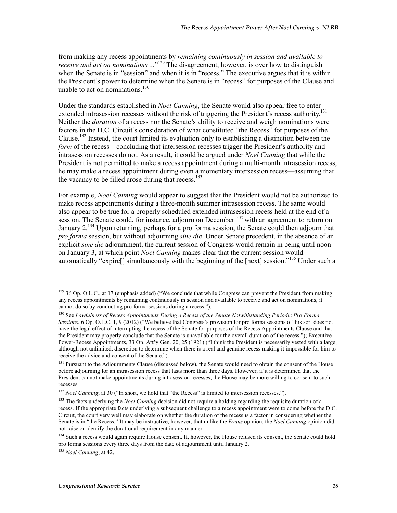from making any recess appointments by *remaining continuously in session and available to receive and act on nominations* ..."<sup>129</sup> The disagreement, however, is over how to distinguish when the Senate is in "session" and when it is in "recess." The executive argues that it is within the President's power to determine when the Senate is in "recess" for purposes of the Clause and unable to act on nominations  $^{130}$ 

Under the standards established in *Noel Canning*, the Senate would also appear free to enter extended intrasession recesses without the risk of triggering the President's recess authority.<sup>131</sup> Neither the *duration* of a recess nor the Senate's ability to receive and weigh nominations were factors in the D.C. Circuit's consideration of what constituted "the Recess" for purposes of the Clause.132 Instead, the court limited its evaluation only to establishing a distinction between the *form* of the recess—concluding that intersession recesses trigger the President's authority and intrasession recesses do not. As a result, it could be argued under *Noel Canning* that while the President is not permitted to make a recess appointment during a multi-month intrasession recess, he may make a recess appointment during even a momentary intersession recess—assuming that the vacancy to be filled arose during that recess.<sup>133</sup>

For example, *Noel Canning* would appear to suggest that the President would not be authorized to make recess appointments during a three-month summer intrasession recess. The same would also appear to be true for a properly scheduled extended intrasession recess held at the end of a session. The Senate could, for instance, adjourn on December  $1<sup>st</sup>$  with an agreement to return on January 2.<sup>134</sup> Upon returning, perhaps for a pro forma session, the Senate could then adjourn that *pro forma* session, but without adjourning *sine die*. Under Senate precedent, in the absence of an explicit *sine die* adjournment, the current session of Congress would remain in being until noon on January 3, at which point *Noel Canning* makes clear that the current session would automatically "expire<sup>[]</sup> simultaneously with the beginning of the [next] session."<sup>135</sup> Under such a

<sup>&</sup>lt;sup>129</sup> 36 Op. O.L.C., at 17 (emphasis added) ("We conclude that while Congress can prevent the President from making any recess appointments by remaining continuously in session and available to receive and act on nominations, it cannot do so by conducting pro forma sessions during a recess.").

<sup>130</sup> See *Lawfulness of Recess Appointments During a Recess of the Senate Notwithstanding Periodic Pro Forma Sessions*, 6 Op. O.L.C. 1, 9 (2012) ("We believe that Congress's provision for pro forma sessions of this sort does not have the legal effect of interrupting the recess of the Senate for purposes of the Recess Appointments Clause and that the President may properly conclude that the Senate is unavailable for the overall duration of the recess."); Executive Power-Recess Appointments, 33 Op. Att'y Gen. 20, 25 (1921) ("I think the President is necessarily vested with a large, although not unlimited, discretion to determine when there is a real and genuine recess making it impossible for him to receive the advice and consent of the Senate.").

<sup>&</sup>lt;sup>131</sup> Pursuant to the Adjournments Clause (discussed below), the Senate would need to obtain the consent of the House before adjourning for an intrasession recess that lasts more than three days. However, if it is determined that the President cannot make appointments during intrasession recesses, the House may be more willing to consent to such recesses.

<sup>&</sup>lt;sup>132</sup> *Noel Canning*, at 30 ("In short, we hold that "the Recess" is limited to intersession recesses.").

<sup>&</sup>lt;sup>133</sup> The facts underlying the *Noel Canning* decision did not require a holding regarding the requisite duration of a recess. If the appropriate facts underlying a subsequent challenge to a recess appointment were to come before the D.C. Circuit, the court very well may elaborate on whether the duration of the recess is a factor in considering whether the Senate is in "the Recess." It may be instructive, however, that unlike the *Evans* opinion, the *Noel Canning* opinion did not raise or identify the durational requirement in any manner.

<sup>&</sup>lt;sup>134</sup> Such a recess would again require House consent. If, however, the House refused its consent, the Senate could hold pro forma sessions every three days from the date of adjournment until January 2.

<sup>135</sup> *Noel Canning*, at 42.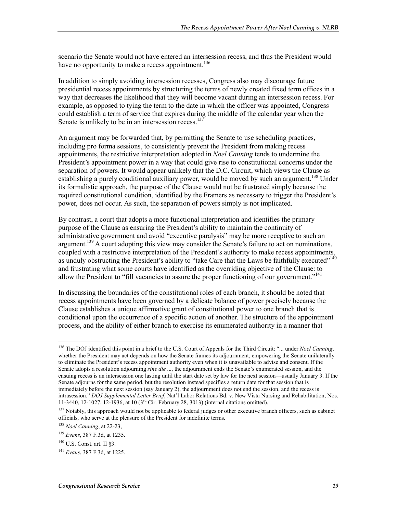scenario the Senate would not have entered an intersession recess, and thus the President would have no opportunity to make a recess appointment.<sup>136</sup>

In addition to simply avoiding intersession recesses, Congress also may discourage future presidential recess appointments by structuring the terms of newly created fixed term offices in a way that decreases the likelihood that they will become vacant during an intersession recess. For example, as opposed to tying the term to the date in which the officer was appointed, Congress could establish a term of service that expires during the middle of the calendar year when the Senate is unlikely to be in an intersession recess. $137$ 

An argument may be forwarded that, by permitting the Senate to use scheduling practices, including pro forma sessions, to consistently prevent the President from making recess appointments, the restrictive interpretation adopted in *Noel Canning* tends to undermine the President's appointment power in a way that could give rise to constitutional concerns under the separation of powers. It would appear unlikely that the D.C. Circuit, which views the Clause as establishing a purely conditional auxiliary power, would be moved by such an argument.<sup>138</sup> Under its formalistic approach, the purpose of the Clause would not be frustrated simply because the required constitutional condition, identified by the Framers as necessary to trigger the President's power, does not occur. As such, the separation of powers simply is not implicated.

By contrast, a court that adopts a more functional interpretation and identifies the primary purpose of the Clause as ensuring the President's ability to maintain the continuity of administrative government and avoid "executive paralysis" may be more receptive to such an argument.<sup>139</sup> A court adopting this view may consider the Senate's failure to act on nominations, coupled with a restrictive interpretation of the President's authority to make recess appointments, as unduly obstructing the President's ability to "take Care that the Laws be faithfully executed"<sup>140</sup> and frustrating what some courts have identified as the overriding objective of the Clause: to allow the President to "fill vacancies to assure the proper functioning of our government."<sup>141</sup>

In discussing the boundaries of the constitutional roles of each branch, it should be noted that recess appointments have been governed by a delicate balance of power precisely because the Clause establishes a unique affirmative grant of constitutional power to one branch that is conditional upon the occurrence of a specific action of another. The structure of the appointment process, and the ability of either branch to exercise its enumerated authority in a manner that

<sup>136</sup> The DOJ identified this point in a brief to the U.S. Court of Appeals for the Third Circuit: "... under *Noel Canning*, whether the President may act depends on how the Senate frames its adjournment, empowering the Senate unilaterally to eliminate the President's recess appointment authority even when it is unavailable to advise and consent. If the Senate adopts a resolution adjourning *sine die* ..., the adjournment ends the Senate's enumerated session, and the ensuing recess is an intersession one lasting until the start date set by law for the next session—usually January 3. If the Senate adjourns for the same period, but the resolution instead specifies a return date for that session that is immediately before the next session (say January 2), the adjournment does not end the session, and the recess is intrasession." *DOJ Supplemental Letter Brief*, Nat'l Labor Relations Bd. v. New Vista Nursing and Rehabilitation, Nos. 11-3440, 12-1027, 12-1936, at 10 (3rd Cir. February 28, 3013) (internal citations omitted).

<sup>&</sup>lt;sup>137</sup> Notably, this approach would not be applicable to federal judges or other executive branch officers, such as cabinet officials, who serve at the pleasure of the President for indefinite terms.

<sup>138</sup> *Noel Canning*, at 22-23,

<sup>139</sup> *Evans*, 387 F.3d, at 1235.

 $140$  U.S. Const. art. II  $83$ .

<sup>141</sup> *Evans*, 387 F.3d, at 1225.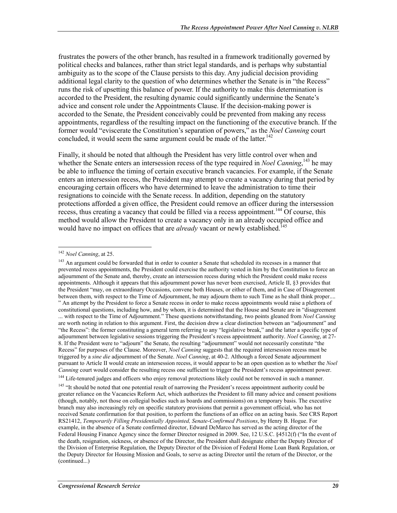frustrates the powers of the other branch, has resulted in a framework traditionally governed by political checks and balances, rather than strict legal standards, and is perhaps why substantial ambiguity as to the scope of the Clause persists to this day. Any judicial decision providing additional legal clarity to the question of who determines whether the Senate is in "the Recess" runs the risk of upsetting this balance of power. If the authority to make this determination is accorded to the President, the resulting dynamic could significantly undermine the Senate's advice and consent role under the Appointments Clause. If the decision-making power is accorded to the Senate, the President conceivably could be prevented from making any recess appointments, regardless of the resulting impact on the functioning of the executive branch. If the former would "eviscerate the Constitution's separation of powers," as the *Noel Canning* court concluded, it would seem the same argument could be made of the latter.<sup>142</sup>

Finally, it should be noted that although the President has very little control over when and whether the Senate enters an intersession recess of the type required in *Noel Canning*,<sup>143</sup> he may be able to influence the timing of certain executive branch vacancies. For example, if the Senate enters an intersession recess, the President may attempt to create a vacancy during that period by encouraging certain officers who have determined to leave the administration to time their resignations to coincide with the Senate recess. In addition, depending on the statutory protections afforded a given office, the President could remove an officer during the intersession recess, thus creating a vacancy that could be filled via a recess appointment.<sup>144</sup> Of course, this method would allow the President to create a vacancy only in an already occupied office and would have no impact on offices that are *already* vacant or newly established.<sup>145</sup>

<sup>142</sup> *Noel Canning*, at 25.

<sup>&</sup>lt;sup>143</sup> An argument could be forwarded that in order to counter a Senate that scheduled its recesses in a manner that prevented recess appointments, the President could exercise the authority vested in him by the Constitution to force an adjournment of the Senate and, thereby, create an intersession recess during which the President could make recess appointments. Although it appears that this adjournment power has never been exercised, Article II, §3 provides that the President "may, on extraordinary Occasions, convene both Houses, or either of them, and in Case of Disagreement between them, with respect to the Time of Adjournment, he may adjourn them to such Time as he shall think proper.... " An attempt by the President to force a Senate recess in order to make recess appointments would raise a plethora of constitutional questions, including how, and by whom, it is determined that the House and Senate are in "disagreement ... with respect to the Time of Adjournment." These questions notwithstanding, two points gleaned from *Noel Canning* are worth noting in relation to this argument. First, the decision drew a clear distinction between an "adjournment" and "the Recess": the former constituting a general term referring to any "legislative break," and the latter a specific type of adjournment between legislative sessions triggering the President's recess appointment authority. *Noel Canning*, at 27- 8. If the President were to "adjourn" the Senate, the resulting "adjournment" would not necessarily constitute "the Recess" for purposes of the Clause. Moreover, *Noel Canning* suggests that the required intersession recess must be triggered by a *sine die* adjournment of the Senate. *Noel Canning*, at 40-2. Although a forced Senate adjournment pursuant to Article II would create an intersession recess, it would appear to be an open question as to whether the *Noel Canning* court would consider the resulting recess one sufficient to trigger the President's recess appointment power.

<sup>&</sup>lt;sup>144</sup> Life-tenured judges and officers who enjoy removal protections likely could not be removed in such a manner.

<sup>&</sup>lt;sup>145</sup> "It should be noted that one potential result of narrowing the President's recess appointment authority could be greater reliance on the Vacancies Reform Act, which authorizes the President to fill many advice and consent positions (though, notably, not those on collegial bodies such as boards and commissions) on a temporary basis. The executive branch may also increasingly rely on specific statutory provisions that permit a government official, who has not received Senate confirmation for that position, to perform the functions of an office on an acting basis. See CRS Report RS21412, *Temporarily Filling Presidentially Appointed, Senate-Confirmed Positions*, by Henry B. Hogue. For example, in the absence of a Senate confirmed director, Edward DeMarco has served as the acting director of the Federal Housing Finance Agency since the former Director resigned in 2009. See, 12 U.S.C. §4512(f) ("In the event of the death, resignation, sickness, or absence of the Director, the President shall designate either the Deputy Director of the Division of Enterprise Regulation, the Deputy Director of the Division of Federal Home Loan Bank Regulation, or the Deputy Director for Housing Mission and Goals, to serve as acting Director until the return of the Director, or the (continued...)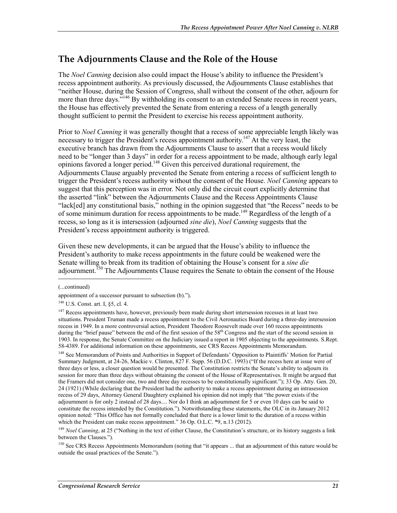#### **The Adjournments Clause and the Role of the House**

The *Noel Canning* decision also could impact the House's ability to influence the President's recess appointment authority. As previously discussed, the Adjournments Clause establishes that "neither House, during the Session of Congress, shall without the consent of the other, adjourn for more than three days.<sup>5146</sup> By withholding its consent to an extended Senate recess in recent years, the House has effectively prevented the Senate from entering a recess of a length generally thought sufficient to permit the President to exercise his recess appointment authority.

Prior to *Noel Canning* it was generally thought that a recess of some appreciable length likely was necessary to trigger the President's recess appointment authority.<sup>147</sup> At the very least, the executive branch has drawn from the Adjournments Clause to assert that a recess would likely need to be "longer than 3 days" in order for a recess appointment to be made, although early legal opinions favored a longer period.148 Given this perceived durational requirement, the Adjournments Clause arguably prevented the Senate from entering a recess of sufficient length to trigger the President's recess authority without the consent of the House. *Noel Canning* appears to suggest that this perception was in error. Not only did the circuit court explicitly determine that the asserted "link" between the Adjournments Clause and the Recess Appointments Clause "lack[ed] any constitutional basis," nothing in the opinion suggested that "the Recess" needs to be of some minimum duration for recess appointments to be made.<sup>149</sup> Regardless of the length of a recess, so long as it is intersession (adjourned *sine die*), *Noel Canning* suggests that the President's recess appointment authority is triggered.

Given these new developments, it can be argued that the House's ability to influence the President's authority to make recess appointments in the future could be weakened were the Senate willing to break from its tradition of obtaining the House's consent for a *sine die* adjournment.<sup>150</sup> The Adjournments Clause requires the Senate to obtain the consent of the House

(...continued)

<sup>148</sup> See Memorandum of Points and Authorities in Support of Defendants' Opposition to Plaintiffs' Motion for Partial Summary Judgment, at 24-26, Mackie v. Clinton, 827 F. Supp. 56 (D.D.C. 1993) ("If the recess here at issue were of three days or less, a closer question would be presented. The Constitution restricts the Senate's ability to adjourn its session for more than three days without obtaining the consent of the House of Representatives. It might be argued that the Framers did not consider one, two and three day recesses to be constitutionally significant."); 33 Op. Atty. Gen. 20, 24 (1921) (While declaring that the President had the authority to make a recess appointment during an intrasession recess of 29 days, Attorney General Daughtery explained his opinion did not imply that "the power exists if the adjournment is for only 2 instead of 28 days.... Nor do I think an adjournment for 5 or even 10 days can be said to constitute the recess intended by the Constitution."). Notwithstanding these statements, the OLC in its January 2012 opinion noted: "This Office has not formally concluded that there is a lower limit to the duration of a recess within which the President can make recess appointment." 36 Op. O.L.C. \*9, n.13 (2012).

<sup>149</sup> *Noel Canning*, at 25 ("Nothing in the text of either Clause, the Constitution's structure, or its history suggests a link between the Clauses.").

<sup>150</sup> See CRS Recess Appointments Memorandum (noting that "it appears ... that an adjournment of this nature would be outside the usual practices of the Senate.").

appointment of a successor pursuant to subsection (b).").

<sup>146</sup> U.S. Const. art. I, §5, cl. 4.

<sup>&</sup>lt;sup>147</sup> Recess appointments have, however, previously been made during short intersession recesses in at least two situations. President Truman made a recess appointment to the Civil Aeronautics Board during a three-day intersession recess in 1949. In a more controversial action, President Theodore Roosevelt made over 160 recess appointments during the "brief pause" between the end of the first session of the 58<sup>th</sup> Congress and the start of the second session in 1903. In response, the Senate Committee on the Judiciary issued a report in 1905 objecting to the appointments. S.Rept. 58-4389. For additional information on these appointments, see CRS Recess Appointments Memorandum.